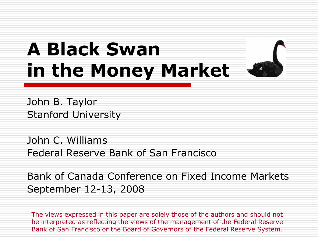# **A Black Swan in the Money Market**



John B. Taylor Stanford University

John C. Williams Federal Reserve Bank of San Francisco

Bank of Canada Conference on Fixed Income Markets September 12-13, 2008

The views expressed in this paper are solely those of the authors and should not be interpreted as reflecting the views of the management of the Federal Reserve Bank of San Francisco or the Board of Governors of the Federal Reserve System.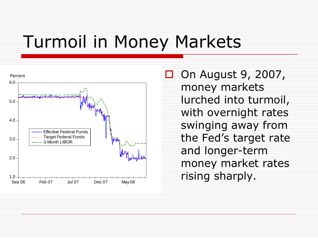# Turmoil in Money Markets



 On August 9, 2007, money markets lurched into turmoil, with overnight rates swinging away from the Fed's target rate and longer-term money market rates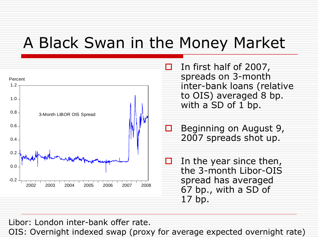#### A Black Swan in the Money Market



 In first half of 2007, spreads on 3-month inter-bank loans (relative to OIS) averaged 8 bp. with a SD of 1 bp.

 Beginning on August 9, 2007 spreads shot up.

 In the year since then, the 3-month Libor-OIS spread has averaged 67 bp., with a SD of 17 bp.

Libor: London inter-bank offer rate.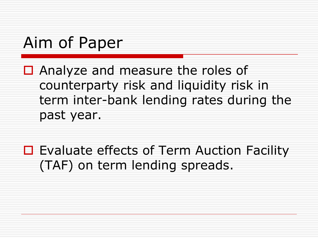### Aim of Paper

- $\Box$  Analyze and measure the roles of counterparty risk and liquidity risk in term inter-bank lending rates during the past year.
- $\Box$  Evaluate effects of Term Auction Facility (TAF) on term lending spreads.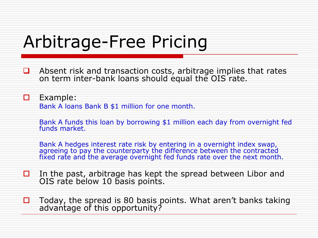# Arbitrage-Free Pricing

 $\Box$  Absent risk and transaction costs, arbitrage implies that rates on term inter-bank loans should equal the OIS rate.

**D** Example: Bank A loans Bank B \$1 million for one month.

Bank A funds this loan by borrowing \$1 million each day from overnight fed funds market.

Bank A hedges interest rate risk by entering in a overnight index swap, agreeing to pay the counterparty the difference between the contracted fixed rate and the average overnight fed funds rate over the next month.

- $\Box$  In the past, arbitrage has kept the spread between Libor and OIS rate below 10 basis points.
- $\Box$  Today, the spread is 80 basis points. What aren't banks taking advantage of this opportunity?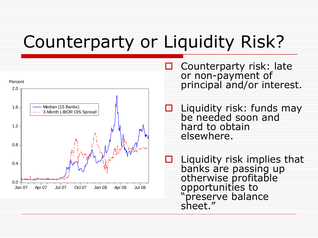# Counterparty or Liquidity Risk?



 Counterparty risk: late or non-payment of principal and/or interest.

 $\Box$  Liquidity risk: funds may be needed soon and hard to obtain elsewhere.

 Liquidity risk implies that banks are passing up otherwise profitable opportunities to "preserve balance sheet."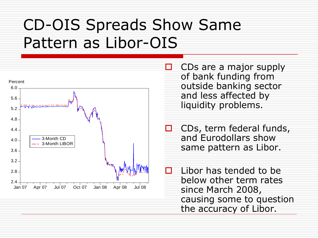#### CD-OIS Spreads Show Same Pattern as Libor-OIS



 CDs are a major supply of bank funding from outside banking sector and less affected by liquidity problems.

 CDs, term federal funds, and Eurodollars show same pattern as Libor.

 Libor has tended to be below other term rates since March 2008, causing some to question the accuracy of Libor.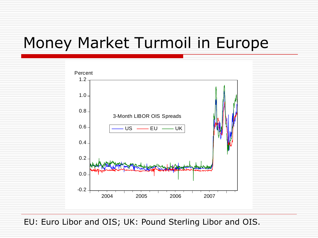#### Money Market Turmoil in Europe



EU: Euro Libor and OIS; UK: Pound Sterling Libor and OIS.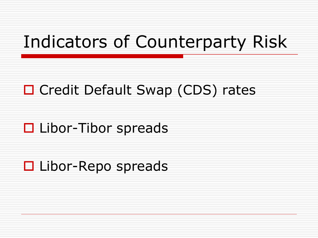# Indicators of Counterparty Risk

#### □ Credit Default Swap (CDS) rates

#### □ Libor-Tibor spreads

#### $\Box$  Libor-Repo spreads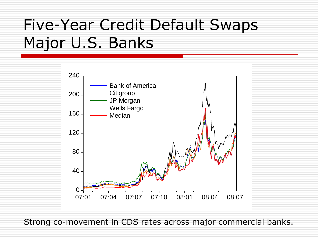# Five-Year Credit Default Swaps Major U.S. Banks



Strong co-movement in CDS rates across major commercial banks.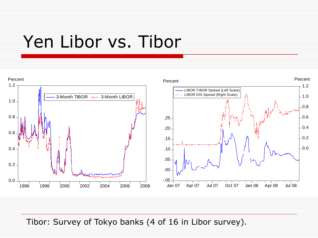### Yen Libor vs. Tibor



Tibor: Survey of Tokyo banks (4 of 16 in Libor survey).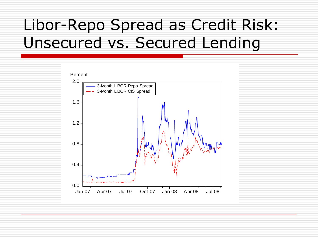### Libor-Repo Spread as Credit Risk: Unsecured vs. Secured Lending

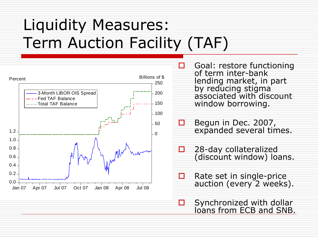# Liquidity Measures: Term Auction Facility (TAF)



- $\Box$  Goal: restore functioning of term inter-bank lending market, in part by reducing stigma associated with discount window borrowing.
- **Begun in Dec. 2007,** expanded several times.
- $\Box$  28-day collateralized (discount window) loans.
- $\Box$  Rate set in single-price auction (every 2 weeks).
- $\Box$  Synchronized with dollar loans from ECB and SNB.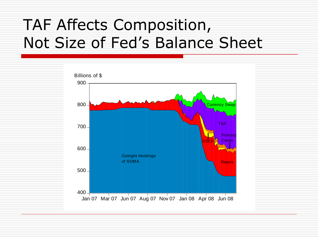#### TAF Affects Composition, Not Size of Fed's Balance Sheet

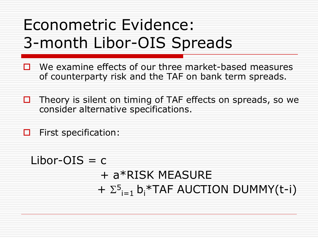# Econometric Evidence: 3-month Libor-OIS Spreads

- $\Box$  We examine effects of our three market-based measures of counterparty risk and the TAF on bank term spreads.
- $\Box$  Theory is silent on timing of TAF effects on spreads, so we consider alternative specifications.
- $\Box$  First specification:

 $Libor-OIS = c$ + a\*RISK MEASURE  $+ \Sigma^5$ <sub>i=1</sub> b<sub>i</sub>\*TAF AUCTION DUMMY(t-i)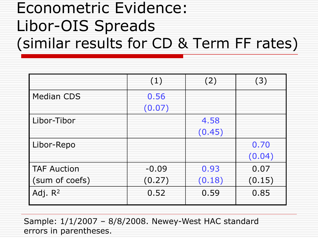#### Econometric Evidence: Libor-OIS Spreads (similar results for CD & Term FF rates)

|                    | (1)     | (2)    | (3)    |
|--------------------|---------|--------|--------|
| <b>Median CDS</b>  | 0.56    |        |        |
|                    | (0.07)  |        |        |
| Libor-Tibor        |         | 4.58   |        |
|                    |         | (0.45) |        |
| Libor-Repo         |         |        | 0.70   |
|                    |         |        | (0.04) |
| <b>TAF Auction</b> | $-0.09$ | 0.93   | 0.07   |
| (sum of coefs)     | (0.27)  | (0.18) | (0.15) |
| Adj. $R^2$         | 0.52    | 0.59   | 0.85   |

Sample: 1/1/2007 – 8/8/2008. Newey-West HAC standard errors in parentheses.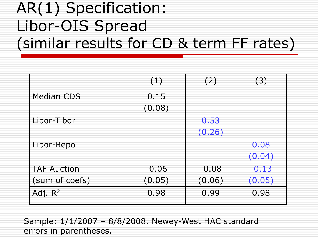#### AR(1) Specification: Libor-OIS Spread (similar results for CD & term FF rates)

|                    | (1)     | (2)     | (3)     |
|--------------------|---------|---------|---------|
| <b>Median CDS</b>  | 0.15    |         |         |
|                    | (0.08)  |         |         |
| Libor-Tibor        |         | 0.53    |         |
|                    |         | (0.26)  |         |
| Libor-Repo         |         |         | 0.08    |
|                    |         |         | (0.04)  |
| <b>TAF Auction</b> | $-0.06$ | $-0.08$ | $-0.13$ |
| (sum of coefs)     | (0.05)  | (0.06)  | (0.05)  |
| Adj. $R^2$         | 0.98    | 0.99    | 0.98    |

Sample: 1/1/2007 – 8/8/2008. Newey-West HAC standard errors in parentheses.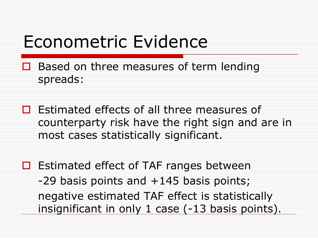### Econometric Evidence

- Based on three measures of term lending spreads:
- $\Box$  Estimated effects of all three measures of counterparty risk have the right sign and are in most cases statistically significant.
- $\Box$  Estimated effect of TAF ranges between -29 basis points and +145 basis points; negative estimated TAF effect is statistically insignificant in only 1 case (-13 basis points).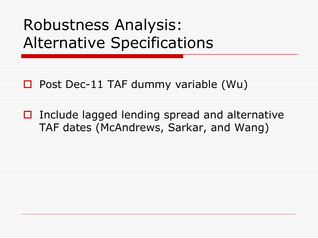#### Robustness Analysis: Alternative Specifications

- $\Box$  Post Dec-11 TAF dummy variable (Wu)
- $\Box$  Include lagged lending spread and alternative TAF dates (McAndrews, Sarkar, and Wang)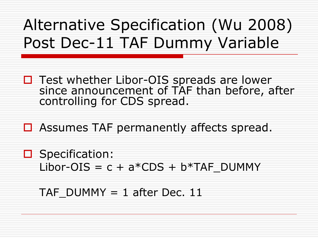### Alternative Specification (Wu 2008) Post Dec-11 TAF Dummy Variable

- □ Test whether Libor-OIS spreads are lower since announcement of TAF than before, after controlling for CDS spread.
- $\Box$  Assumes TAF permanently affects spread.
- □ Specification: Libor-OIS =  $c + a*CDS + b*TAF$  DUMMY

TAF DUMMY  $=$  1 after Dec. 11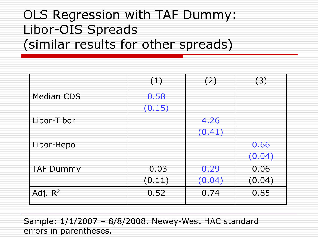#### OLS Regression with TAF Dummy: Libor-OIS Spreads (similar results for other spreads)

|                   | (1)     | (2)    | (3)    |
|-------------------|---------|--------|--------|
| <b>Median CDS</b> | 0.58    |        |        |
|                   | (0.15)  |        |        |
| Libor-Tibor       |         | 4.26   |        |
|                   |         | (0.41) |        |
| Libor-Repo        |         |        | 0.66   |
|                   |         |        | (0.04) |
| <b>TAF Dummy</b>  | $-0.03$ | 0.29   | 0.06   |
|                   | (0.11)  | (0.04) | (0.04) |
| Adj. $R^2$        | 0.52    | 0.74   | 0.85   |

Sample: 1/1/2007 - 8/8/2008. Newey-West HAC standard errors in parentheses.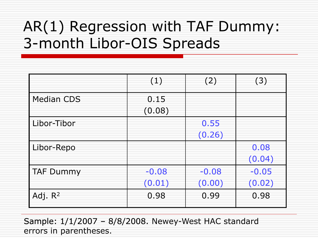#### AR(1) Regression with TAF Dummy: 3-month Libor-OIS Spreads

|                   | (1)     | (2)     | (3)     |
|-------------------|---------|---------|---------|
| <b>Median CDS</b> | 0.15    |         |         |
|                   | (0.08)  |         |         |
| Libor-Tibor       |         | 0.55    |         |
|                   |         | (0.26)  |         |
| Libor-Repo        |         |         | 0.08    |
|                   |         |         | (0.04)  |
| <b>TAF Dummy</b>  | $-0.08$ | $-0.08$ | $-0.05$ |
|                   | (0.01)  | (0.00)  | (0.02)  |
| Adj. $R^2$        | 0.98    | 0.99    | 0.98    |

Sample: 1/1/2007 - 8/8/2008. Newey-West HAC standard errors in parentheses.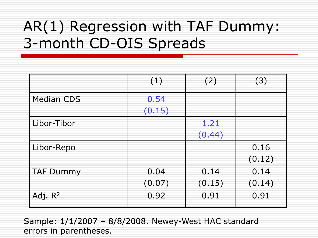#### AR(1) Regression with TAF Dummy: 3-month CD-OIS Spreads

|                   | (1)    | (2)    | (3)    |
|-------------------|--------|--------|--------|
| <b>Median CDS</b> | 0.54   |        |        |
|                   | (0.15) |        |        |
| Libor-Tibor       |        | 1.21   |        |
|                   |        | (0.44) |        |
| Libor-Repo        |        |        | 0.16   |
|                   |        |        | (0.12) |
| <b>TAF Dummy</b>  | 0.04   | 0.14   | 0.14   |
|                   | (0.07) | (0.15) | (0.14) |
| Adj. $R^2$        | 0.92   | 0.91   | 0.91   |

Sample: 1/1/2007 - 8/8/2008. Newey-West HAC standard errors in parentheses.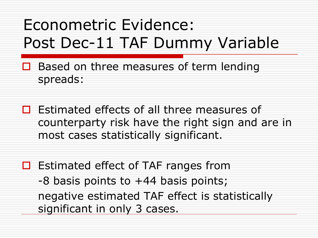# Econometric Evidence: Post Dec-11 TAF Dummy Variable

- Based on three measures of term lending spreads:
- $\Box$  Estimated effects of all three measures of counterparty risk have the right sign and are in most cases statistically significant.
- $\Box$  Estimated effect of TAF ranges from -8 basis points to +44 basis points; negative estimated TAF effect is statistically significant in only 3 cases.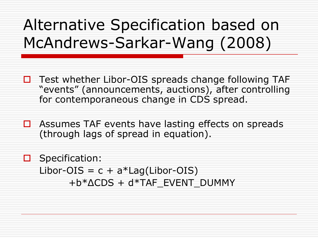### Alternative Specification based on McAndrews-Sarkar-Wang (2008)

- $\Box$  Test whether Libor-OIS spreads change following TAF "events" (announcements, auctions), after controlling for contemporaneous change in CDS spread.
- $\Box$  Assumes TAF events have lasting effects on spreads (through lags of spread in equation).

**O** Specification: Libor-OIS =  $c + a*$ Lag(Libor-OIS) +b\*ΔCDS + d\*TAF\_EVENT\_DUMMY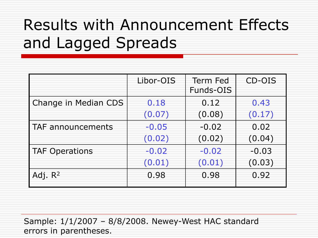## Results with Announcement Effects and Lagged Spreads

|                       | Libor-OIS | Term Fed<br>Funds-OIS | CD-OIS  |
|-----------------------|-----------|-----------------------|---------|
| Change in Median CDS  | 0.18      | 0.12                  | 0.43    |
|                       | (0.07)    | (0.08)                | (0.17)  |
| TAF announcements     | $-0.05$   | $-0.02$               | 0.02    |
|                       | (0.02)    | (0.02)                | (0.04)  |
| <b>TAF Operations</b> | $-0.02$   | $-0.02$               | $-0.03$ |
|                       | (0.01)    | (0.01)                | (0.03)  |
| Adj. $R^2$            | 0.98      | 0.98                  | 0.92    |

Sample: 1/1/2007 – 8/8/2008. Newey-West HAC standard errors in parentheses.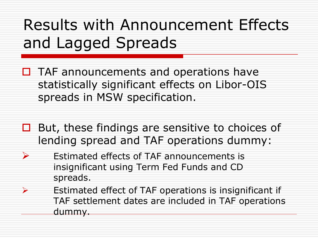# Results with Announcement Effects and Lagged Spreads

- $\Box$  TAF announcements and operations have statistically significant effects on Libor-OIS spreads in MSW specification.
- $\Box$  But, these findings are sensitive to choices of lending spread and TAF operations dummy:
- $\triangleright$  Estimated effects of TAF announcements is insignificant using Term Fed Funds and CD spreads.
- Estimated effect of TAF operations is insignificant if TAF settlement dates are included in TAF operations dummy.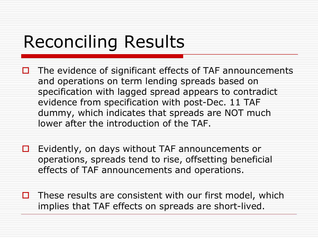# Reconciling Results

- $\Box$  The evidence of significant effects of TAF announcements and operations on term lending spreads based on specification with lagged spread appears to contradict evidence from specification with post-Dec. 11 TAF dummy, which indicates that spreads are NOT much lower after the introduction of the TAF.
- $\Box$  Evidently, on days without TAF announcements or operations, spreads tend to rise, offsetting beneficial effects of TAF announcements and operations.
- $\Box$  These results are consistent with our first model, which implies that TAF effects on spreads are short-lived.